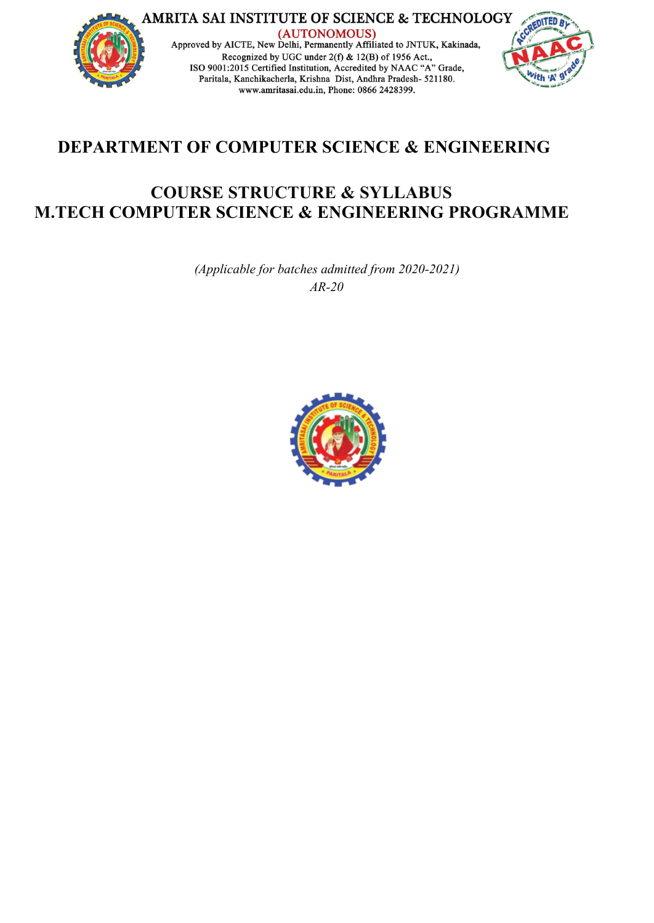

# **DEPARTMENT OF COMPUTER SCIENCE & ENGINEERING**

# **COURSE STRUCTURE & SYLLABUS M.TECH COMPUTER SCIENCE & ENGINEERING PROGRAMME**

*(Applicable for batches admitted from 2020-2021) AR-20*

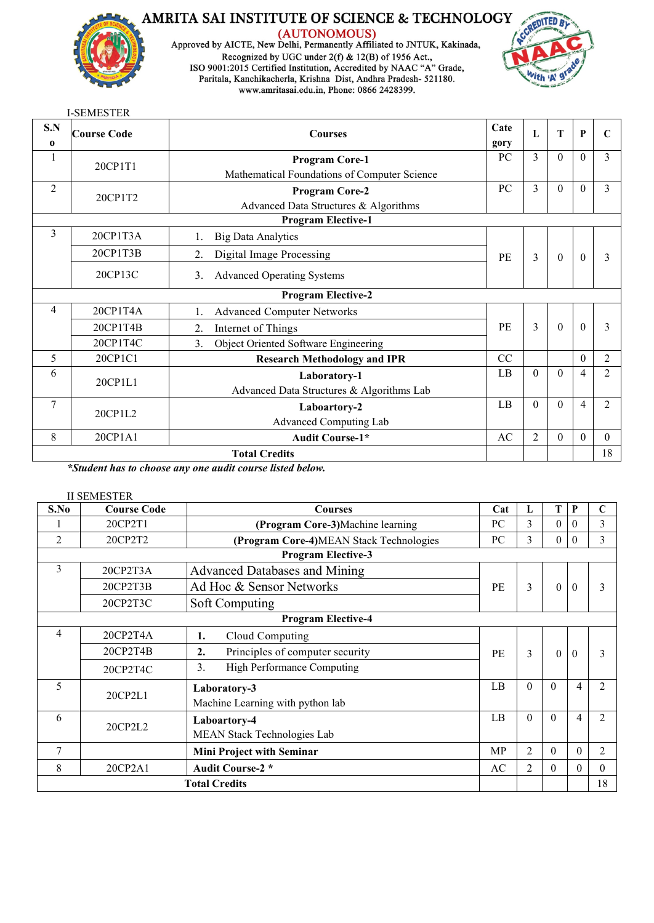

(AUTONOMOUS)<br>Approved by AICTE, New Delhi, Permanently Affiliated to JNTUK, Kakinada, Recognized by UGC under  $2(f) \& 12(B)$  of 1956 Act.,<br>ISO 9001:2015 Certified Institution, Accredited by NAAC "A" Grade, Paritala, Kanchikacherla, Krishna Dist, Andhra Pradesh- 521180. www.amritasai.edu.in, Phone: 0866 2428399.



|                 | <b>I-SEMESTER</b> |                                                                       |              |                |                  |                |                |
|-----------------|-------------------|-----------------------------------------------------------------------|--------------|----------------|------------------|----------------|----------------|
| S.N<br>$\bf{0}$ | Course Code       | <b>Courses</b>                                                        | Cate<br>gory | L              | T                | $\mathbf{P}$   | $\mathbf C$    |
|                 | 20CP1T1           | <b>Program Core-1</b><br>Mathematical Foundations of Computer Science | PC           | 3              | $\Omega$         | $\Omega$       | $\overline{3}$ |
| $\overline{2}$  | 20CP1T2           | <b>Program Core-2</b><br>Advanced Data Structures & Algorithms        | PC           | 3              | $\theta$         | $\theta$       | $\mathcal{E}$  |
|                 |                   | <b>Program Elective-1</b>                                             |              |                |                  |                |                |
| 3               | 20CP1T3A          | <b>Big Data Analytics</b>                                             |              |                |                  |                |                |
|                 | 20CP1T3B          | Digital Image Processing<br>2.                                        | PE           | 3              | $\boldsymbol{0}$ | $\theta$       | 3              |
|                 | 20CP13C           | <b>Advanced Operating Systems</b><br>3 <sub>1</sub>                   |              |                |                  |                |                |
|                 |                   | <b>Program Elective-2</b>                                             |              |                |                  |                |                |
| $\overline{4}$  | 20CP1T4A          | <b>Advanced Computer Networks</b>                                     |              |                |                  |                |                |
|                 | 20CP1T4B          | Internet of Things<br>2.                                              | PE           | $\overline{3}$ | $\overline{0}$   | $\Omega$       | $\mathcal{E}$  |
|                 | 20CP1T4C          | Object Oriented Software Engineering<br>$\mathbf{3}$ .                |              |                |                  |                |                |
| 5               | 20CP1C1           | <b>Research Methodology and IPR</b>                                   | CC           |                |                  | $\Omega$       | $\overline{2}$ |
| 6               | 20CP1L1           | Laboratory-1<br>Advanced Data Structures & Algorithms Lab             | LB           | $\theta$       | $\Omega$         | $\overline{4}$ | $\overline{2}$ |
| $\tau$          | 20CP1L2           | Laboartory-2<br>Advanced Computing Lab                                | LB           | $\mathbf{0}$   | $\Omega$         | $\overline{4}$ | $\overline{2}$ |
| 8               | 20CP1A1           | <b>Audit Course-1*</b>                                                | AC           | $\overline{2}$ | $\mathbf{0}$     | $\overline{0}$ | $\theta$       |
|                 |                   | <b>Total Credits</b>                                                  |              |                |                  |                | 18             |

*\*Student has to choose any one audit course listed below.*

# II SEMESTER

| S.No   | <b>Course Code</b> | <b>Courses</b>                          | Cat | L              | T              | P              |                |  |
|--------|--------------------|-----------------------------------------|-----|----------------|----------------|----------------|----------------|--|
|        | 20CP2T1            | (Program Core-3)Machine learning        | PC  | 3              | $\overline{0}$ | $\theta$       | 3              |  |
| 2      | 20CP2T2            | (Program Core-4)MEAN Stack Technologies | PC  | 3              | $\overline{0}$ | $\overline{0}$ | 3              |  |
|        |                    | <b>Program Elective-3</b>               |     |                |                |                |                |  |
| 3      | 20CP2T3A           | <b>Advanced Databases and Mining</b>    |     |                |                |                |                |  |
|        | 20CP2T3B           | Ad Hoc & Sensor Networks                | PE  | $\overline{3}$ | $\theta$       | $\theta$       | 3              |  |
|        | 20CP2T3C           | Soft Computing                          |     |                |                |                |                |  |
|        |                    | <b>Program Elective-4</b>               |     |                |                |                |                |  |
| 4      | 20CP2T4A           | Cloud Computing<br>1.                   |     |                |                |                |                |  |
|        | 20CP2T4B           | Principles of computer security<br>2.   | PE  | $\mathfrak{Z}$ | $\theta$       | $\theta$       | 3              |  |
|        | 20CP2T4C           | High Performance Computing<br>3.        |     |                |                |                |                |  |
| 5      | 20CP2L1            | Laboratory-3                            | LB  | $\Omega$       | $\theta$       | $\overline{4}$ | 2              |  |
|        |                    | Machine Learning with python lab        |     |                |                |                |                |  |
| 6      | 20CP2L2            | Laboartory-4                            | LB  | $\Omega$       | $\theta$       | $\overline{4}$ | $\overline{2}$ |  |
|        |                    | MEAN Stack Technologies Lab             |     |                |                |                |                |  |
| $\tau$ |                    | <b>Mini Project with Seminar</b>        | MP  | $\overline{2}$ | $\theta$       | $\Omega$       | 2              |  |
| 8      | 20CP2A1            | <b>Audit Course-2 *</b>                 | AC  | 2              | $\theta$       | $\theta$       | $\Omega$       |  |
|        |                    | <b>Total Credits</b>                    |     |                |                |                | 18             |  |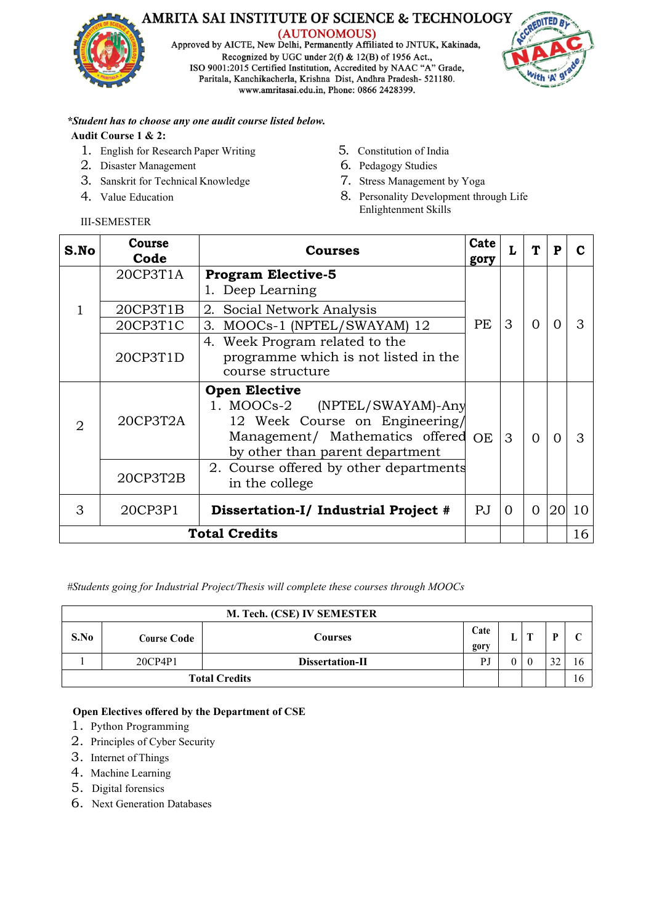

Approved by AICTE, New Delhi, Permanently Affiliated to JNTUK, Kakinada, Recognized by UGC under 2(f) & 12(B) of 1956 Act.,<br>ISO 9001:2015 Certified Institution, Accredited by NAAC "A" Grade, Paritala, Kanchikacherla, Krishna Dist, Andhra Pradesh- 521180. www.amritasai.edu.in, Phone: 0866 2428399.



# *\*Student has to choose any one audit course listed below.*

# **Audit Course 1 & 2:**

- 1. English for Research Paper Writing
- 2. Disaster Management
- 3. Sanskrit for Technical Knowledge
- 4. Value Education
- 5. Constitution of India
- 6. Pedagogy Studies
- 7. Stress Management by Yoga
- 8. Personality Development through Life Enlightenment Skills

| S.No | Course<br>Code | <b>Courses</b>                                                                                                                                                   | Cate<br>gory   |                | T              | P        | C         |  |
|------|----------------|------------------------------------------------------------------------------------------------------------------------------------------------------------------|----------------|----------------|----------------|----------|-----------|--|
|      | 20CP3T1A       | <b>Program Elective-5</b>                                                                                                                                        |                |                |                |          |           |  |
|      |                | 1. Deep Learning                                                                                                                                                 |                |                |                |          |           |  |
|      | 20CP3T1B       | 2. Social Network Analysis                                                                                                                                       |                |                |                |          |           |  |
|      | 20CP3T1C       | 3. MOOCs-1 (NPTEL/SWAYAM) 12                                                                                                                                     | PE             | 3              | $\Omega$       | $\Omega$ | 3         |  |
|      |                | 4. Week Program related to the                                                                                                                                   |                |                |                |          |           |  |
|      | 20CP3T1D       | programme which is not listed in the                                                                                                                             |                |                |                |          |           |  |
|      |                | course structure                                                                                                                                                 |                |                |                |          |           |  |
| 2    | 20CP3T2A       | <b>Open Elective</b><br>1. MOOCs-2 (NPTEL/SWAYAM)-Any<br>12 Week Course on Engineering/<br>Management/ Mathematics offered OE<br>by other than parent department |                | $\mathcal{S}$  | $\Omega$       | $\Omega$ | 3         |  |
|      | 20CP3T2B       | 2. Course offered by other departments<br>in the college                                                                                                         |                |                |                |          |           |  |
| 3    | 20CP3P1        | Dissertation-I/ Industrial Project #                                                                                                                             | $\overline{P}$ | $\overline{0}$ | $\overline{0}$ |          | $ 20 $ 10 |  |
|      |                | <b>Total Credits</b>                                                                                                                                             |                |                |                |          | 16        |  |

*#Students going for Industrial Project/Thesis will complete these courses through MOOCs*

|      |             | M. Tech. (CSE) IV SEMESTER |                      |   |            |    |    |
|------|-------------|----------------------------|----------------------|---|------------|----|----|
| S.No | Course Code | Courses                    | Cate<br>gory         | ш | <b>CON</b> | D  |    |
|      | 20CP4P1     | Dissertation-II            | DI<br>$\overline{1}$ |   | $\theta$   | 32 | 16 |
|      |             | <b>Total Credits</b>       |                      |   |            |    | 16 |

# **Open Electives offered by the Department of CSE**

- 1. Python Programming
- 2. Principles of Cyber Security
- 3. Internet of Things
- 4. Machine Learning
- 5. Digital forensics
- 6. Next Generation Databases

# III-SEMESTER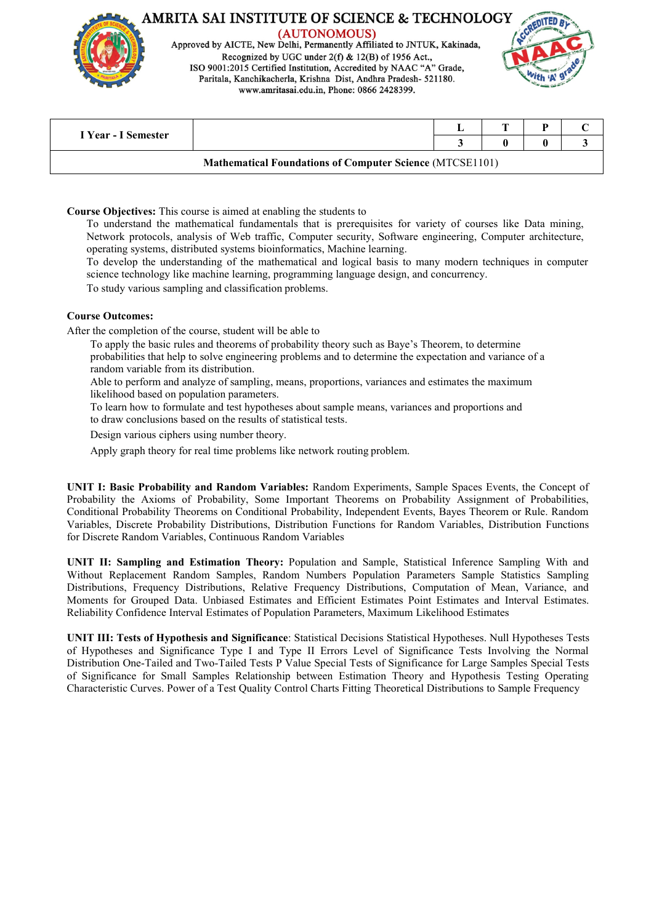

Approved by AICTE, New Delhi, Permanently Affiliated to JNTUK, Kakinada, Recognized by UGC under 2(f) & 12(B) of 1956 Act., ISO 9001:2015 Certified Institution, Accredited by NAAC "A" Grade, Paritala, Kanchikacherla, Krishna Dist, Andhra Pradesh- 521180. www.amritasai.edu.in, Phone: 0866 2428399.



|                     |                                                                 | n |  |
|---------------------|-----------------------------------------------------------------|---|--|
| I Year - I Semester |                                                                 |   |  |
|                     | <b>Mathematical Foundations of Computer Science (MTCSE1101)</b> |   |  |

**Course Objectives:** This course is aimed at enabling the students to

To understand the mathematical fundamentals that is prerequisites for variety of courses like Data mining, Network protocols, analysis of Web traffic, Computer security, Software engineering, Computer architecture, operating systems, distributed systems bioinformatics, Machine learning.

To develop the understanding of the mathematical and logical basis to many modern techniques in computer science technology like machine learning, programming language design, and concurrency.

To study various sampling and classification problems.

#### **Course Outcomes:**

After the completion of the course, student will be able to

To apply the basic rules and theorems of probability theory such as Baye's Theorem, to determine probabilities that help to solve engineering problems and to determine the expectation and variance of a random variable from its distribution.

Able to perform and analyze of sampling, means, proportions, variances and estimates the maximum likelihood based on population parameters.

To learn how to formulate and test hypotheses about sample means, variances and proportions and to draw conclusions based on the results of statistical tests.

Design various ciphers using number theory.

Apply graph theory for real time problems like network routing problem.

**UNIT I: Basic Probability and Random Variables:** Random Experiments, Sample Spaces Events, the Concept of Probability the Axioms of Probability, Some Important Theorems on Probability Assignment of Probabilities, Conditional Probability Theorems on Conditional Probability, Independent Events, Bayes Theorem or Rule. Random Variables, Discrete Probability Distributions, Distribution Functions for Random Variables, Distribution Functions for Discrete Random Variables, Continuous Random Variables

**UNIT II: Sampling and Estimation Theory:** Population and Sample, Statistical Inference Sampling With and Without Replacement Random Samples, Random Numbers Population Parameters Sample Statistics Sampling Distributions, Frequency Distributions, Relative Frequency Distributions, Computation of Mean, Variance, and Moments for Grouped Data. Unbiased Estimates and Efficient Estimates Point Estimates and Interval Estimates. Reliability Confidence Interval Estimates of Population Parameters, Maximum Likelihood Estimates

**UNIT III: Tests of Hypothesis and Significance**: Statistical Decisions Statistical Hypotheses. Null Hypotheses Tests of Hypotheses and Significance Type I and Type II Errors Level of Significance Tests Involving the Normal Distribution One-Tailed and Two-Tailed Tests P Value Special Tests of Significance for Large Samples Special Tests of Significance for Small Samples Relationship between Estimation Theory and Hypothesis Testing Operating Characteristic Curves. Power of a Test Quality Control Charts Fitting Theoretical Distributions to Sample Frequency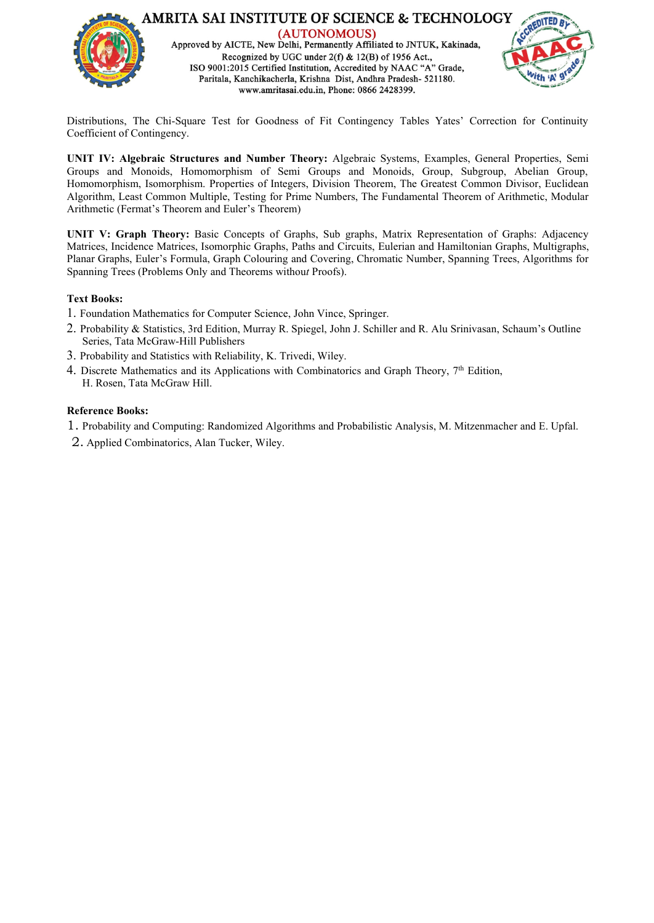

Distributions, The Chi-Square Test for Goodness of Fit Contingency Tables Yates' Correction for Continuity Coefficient of Contingency.

**UNIT IV: Algebraic Structures and Number Theory:** Algebraic Systems, Examples, General Properties, Semi Groups and Monoids, Homomorphism of Semi Groups and Monoids, Group, Subgroup, Abelian Group, Homomorphism, Isomorphism. Properties of Integers, Division Theorem, The Greatest Common Divisor, Euclidean Algorithm, Least Common Multiple, Testing for Prime Numbers, The Fundamental Theorem of Arithmetic, Modular Arithmetic (Fermat's Theorem and Euler's Theorem)

**UNIT V: Graph Theory:** Basic Concepts of Graphs, Sub graphs, Matrix Representation of Graphs: Adjacency Matrices, Incidence Matrices, Isomorphic Graphs, Paths and Circuits, Eulerian and Hamiltonian Graphs, Multigraphs, Planar Graphs, Euler's Formula, Graph Colouring and Covering, Chromatic Number, Spanning Trees, Algorithms for Spanning Trees (Problems Only and Theorems withou*t* Proofs).

# **Text Books:**

- 1. Foundation Mathematics for Computer Science, John Vince, Springer.
- 2. Probability & Statistics, 3rd Edition, Murray R. Spiegel, John J. Schiller and R. Alu Srinivasan, Schaum's Outline Series, Tata McGraw-Hill Publishers
- 3. Probability and Statistics with Reliability, K. Trivedi, Wiley.
- 4. Discrete Mathematics and its Applications with Combinatorics and Graph Theory, 7<sup>th</sup> Edition, H. Rosen, Tata McGraw Hill.

- 1. Probability and Computing: Randomized Algorithms and Probabilistic Analysis, M. Mitzenmacher and E. Upfal.
- 2. Applied Combinatorics, Alan Tucker, Wiley.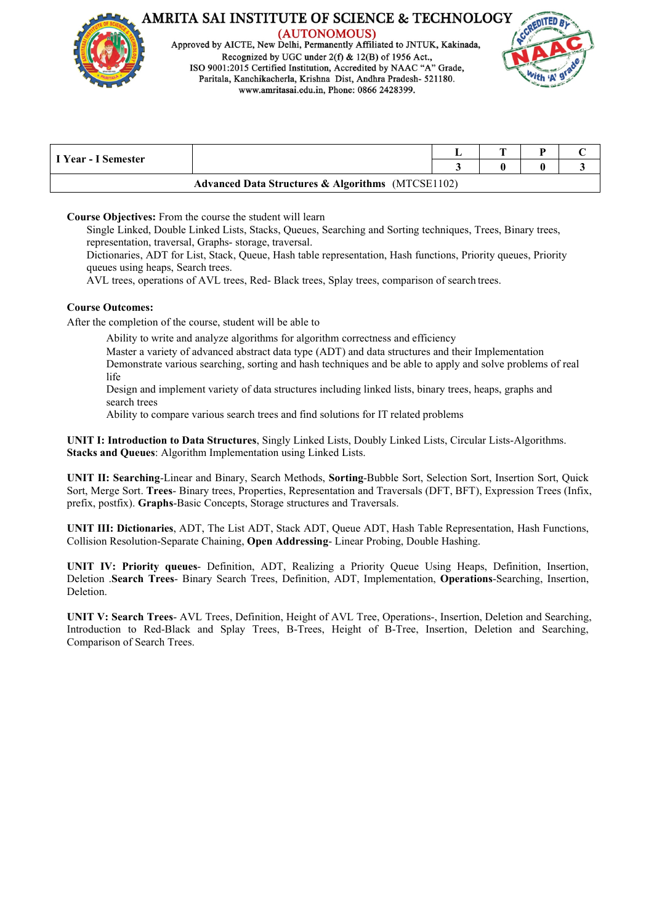

(AUTONOMOUS) Approved by AICTE, New Delhi, Permanently Affiliated to JNTUK, Kakinada, Recognized by UGC under  $2(f)$  & 12(B) of 1956 Act. ISO 9001:2015 Certified Institution, Accredited by NAAC "A" Grade, Paritala, Kanchikacherla, Krishna Dist, Andhra Pradesh- 521180. www.amritasai.edu.in, Phone: 0866 2428399.



| I Year - I Semester                                          |  |  |  |
|--------------------------------------------------------------|--|--|--|
| <b>Advanced Data Structures &amp; Algorithms</b> (MTCSE1102) |  |  |  |

#### **Course Objectives:** From the course the student will learn

Single Linked, Double Linked Lists, Stacks, Queues, Searching and Sorting techniques,Trees, Binary trees, representation, traversal, Graphs- storage, traversal.

Dictionaries, ADT for List, Stack, Queue, Hash table representation, Hash functions, Priority queues, Priority queues using heaps, Search trees.

AVL trees, operations ofAVL trees, Red- Black trees, Splay trees, comparison of search trees.

#### **Course Outcomes:**

After the completion of the course, student will be able to

Ability to write and analyze algorithms for algorithm correctness and efficiency

Master a variety of advanced abstract data type (ADT) and data structures and their Implementation Demonstrate various searching, sorting and hash techniques and be able to apply and solve problems of real life

Design and implement variety of data structures including linked lists, binary trees, heaps, graphs and search trees

Ability to compare various search trees and find solutions for IT related problems

**UNIT I: Introduction toData Structures**, Singly Linked Lists, Doubly Linked Lists, Circular Lists-Algorithms. **Stacks and Queues**: Algorithm Implementation using Linked Lists.

**UNIT II: Searching**-Linear and Binary, Search Methods, **Sorting**-Bubble Sort, Selection Sort, Insertion Sort, Quick Sort, Merge Sort. **Trees**- Binary trees, Properties, Representation and Traversals (DFT, BFT), Expression Trees (Infix, prefix, postfix). **Graphs**-Basic Concepts, Storage structures and Traversals.

**UNIT III: Dictionaries**, ADT, The List ADT, Stack ADT, Queue ADT, Hash Table Representation, Hash Functions, Collision Resolution-Separate Chaining, **Open Addressing**- Linear Probing, Double Hashing.

**UNIT IV: Priority queues**- Definition, ADT, Realizing a Priority Queue Using Heaps, Definition, Insertion, Deletion .**Search Trees**- Binary Search Trees, Definition, ADT, Implementation, **Operations**-Searching, Insertion, Deletion.

**UNIT V: Search Trees**- AVL Trees, Definition, Height of AVL Tree, Operations-, Insertion, Deletion and Searching, Introduction to Red-Black and Splay Trees, B-Trees, Height of B-Tree, Insertion, Deletion and Searching, Comparison of Search Trees.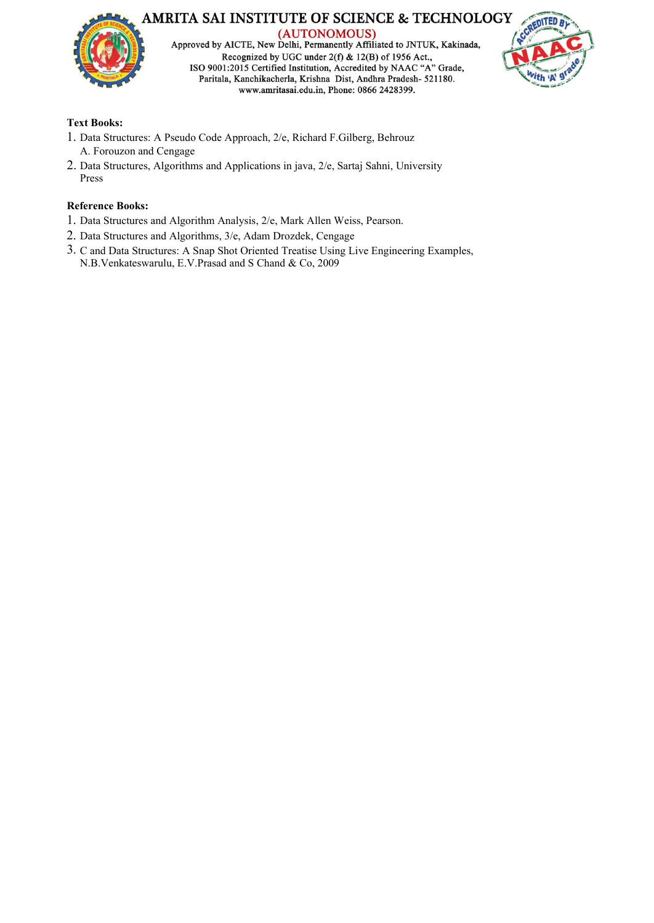

Approved by AICTE, New Delhi, Permanently Affiliated to JNTUK, Kakinada, Recognized by UGC under  $2(f)$  & 12(B) of 1956 Act., ISO 9001:2015 Certified Institution, Accredited by NAAC "A" Grade, Paritala, Kanchikacherla, Krishna Dist, Andhra Pradesh- 521180. www.amritasai.edu.in, Phone: 0866 2428399.



# **Text Books:**

- 1. Data Structures: A Pseudo Code Approach, 2/e, Richard F.Gilberg, Behrouz A. Forouzon and Cengage
- 2. Data Structures, Algorithms and Applications in java, 2/e, Sartaj Sahni, University Press

- 1. Data Structures and Algorithm Analysis, 2/e, Mark Allen Weiss, Pearson.
- 2. Data Structures and Algorithms, 3/e, Adam Drozdek, Cengage
- 3. C and Data Structures: A Snap Shot Oriented Treatise Using Live Engineering Examples, N.B.Venkateswarulu, E.V.Prasad and S Chand & Co, 2009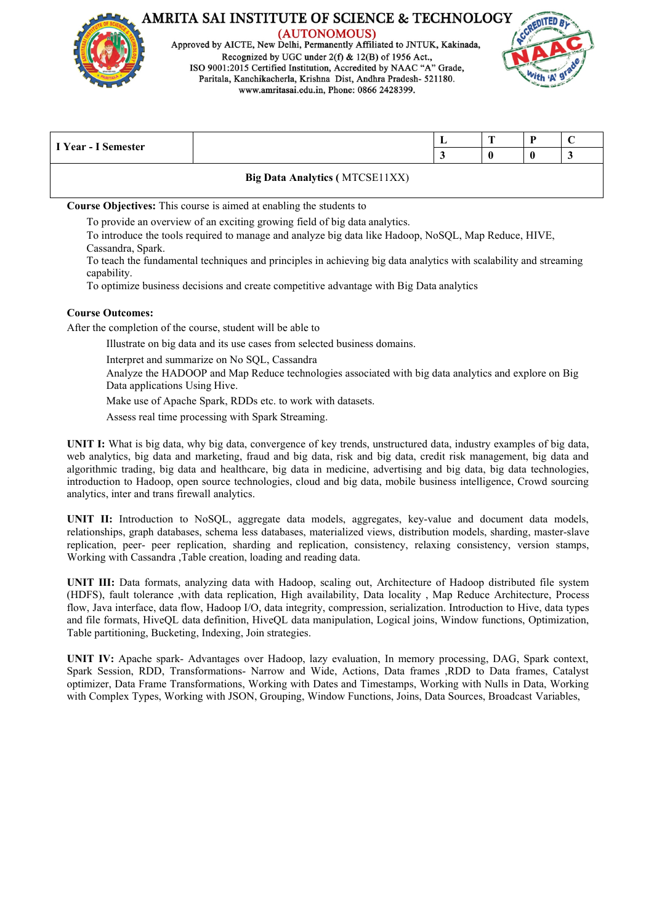

Approved by AICTE, New Delhi, Permanently Affiliated to JNTUK, Kakinada, Recognized by UGC under 2(f) & 12(B) of 1956 Act., ISO 9001:2015 Certified Institution, Accredited by NAAC "A" Grade, Paritala, Kanchikacherla, Krishna Dist, Andhra Pradesh- 521180. www.amritasai.edu.in, Phone: 0866 2428399.



| I Year - I Semester |                                       | n | ∼ |
|---------------------|---------------------------------------|---|---|
|                     |                                       |   |   |
|                     | <b>Big Data Analytics (MTCSE11XX)</b> |   |   |

**Course Objectives:** This course is aimed at enabling the students to

To provide an overview of an exciting growing field of big data analytics.

To introduce the tools required to manage and analyze big data like Hadoop,NoSQL, Map Reduce, HIVE, Cassandra, Spark.

To teach the fundamental techniques and principles in achieving big data analytics with scalability and streaming capability.

To optimize business decisions and create competitive advantage with Big Data analytics

#### **Course Outcomes:**

After the completion of the course, student will be able to

Illustrate on big data and its use cases from selected business domains.

Interpret and summarize on No SQL, Cassandra

Analyze the HADOOP and Map Reduce technologies associated with big data analytics and explore on Big Data applications Using Hive.

Make use of Apache Spark, RDDs etc. to work with datasets.

Assess real time processing with Spark Streaming.

**UNIT I:** What is big data, why big data, convergence of key trends, unstructured data, industry examples of big data, web analytics, big data and marketing, fraud and big data, risk and big data, credit risk management, big data and algorithmic trading, big data and healthcare, big data in medicine, advertising and big data, big data technologies, introduction to Hadoop, open source technologies, cloud and big data, mobile business intelligence, Crowd sourcing analytics, inter and trans firewall analytics.

**UNIT II:** Introduction to NoSQL, aggregate data models, aggregates, key-value and document data models, relationships, graph databases, schema less databases, materialized views, distribution models, sharding, master-slave replication, peer- peer replication, sharding and replication, consistency, relaxing consistency, version stamps, Working with Cassandra ,Table creation, loading and reading data.

**UNIT III:** Data formats, analyzing data with Hadoop, scaling out, Architecture of Hadoop distributed file system (HDFS), fault tolerance ,with data replication, High availability, Data locality , Map Reduce Architecture, Process flow, Java interface, data flow, Hadoop I/O, data integrity, compression, serialization. Introduction to Hive, data types and file formats,HiveQL data definition, HiveQL data manipulation, Logical joins, Window functions, Optimization, Table partitioning, Bucketing, Indexing, Join strategies.

**UNIT IV:** Apache spark- Advantages over Hadoop, lazy evaluation, In memory processing, DAG, Spark context, Spark Session, RDD, Transformations- Narrow and Wide, Actions, Data frames ,RDD to Data frames, Catalyst optimizer, Data Frame Transformations, Working with Dates and Timestamps, Working with Nulls in Data, Working with Complex Types, Working with JSON, Grouping, Window Functions, Joins, Data Sources, Broadcast Variables,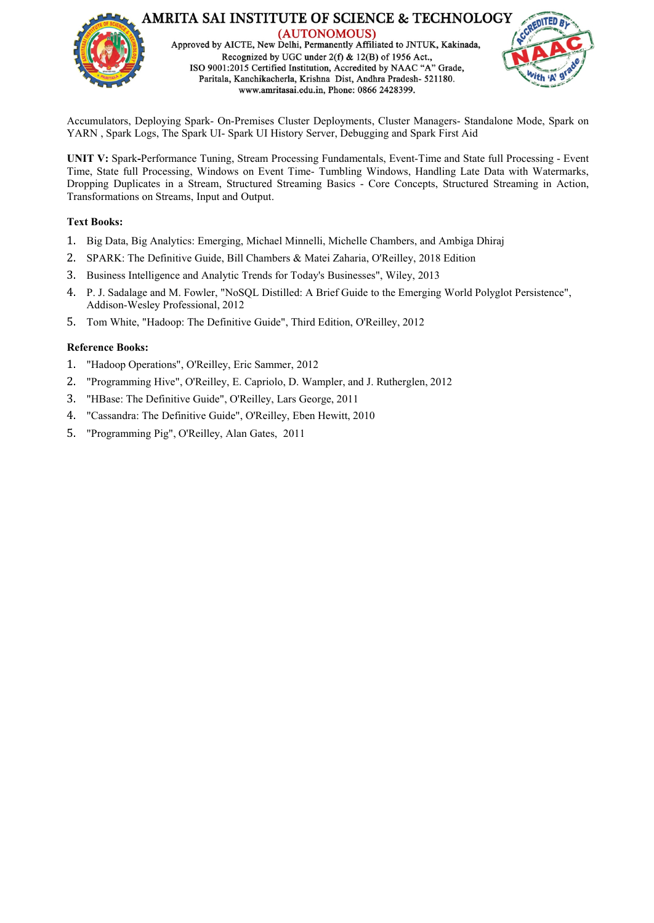

Accumulators, Deploying Spark- On-Premises Cluster Deployments, Cluster Managers- Standalone Mode, Spark on YARN , Spark Logs, The Spark UI- Spark UI History Server, Debugging and Spark First Aid

**UNIT V:** Spark**-**Performance Tuning, Stream Processing Fundamentals, Event-Time and State full Processing - Event Time, State full Processing, Windows on Event Time- Tumbling Windows, Handling Late Data with Watermarks, Dropping Duplicates in a Stream, Structured Streaming Basics - Core Concepts, Structured Streaming in Action, Transformations on Streams, Input and Output.

#### **Text Books:**

- 1. Big Data, Big Analytics: Emerging, Michael Minnelli, Michelle Chambers, and Ambiga Dhiraj
- 2. SPARK: The Definitive Guide, Bill Chambers & Matei Zaharia, O'Reilley, 2018 Edition
- 3. Business Intelligence and Analytic Trends for Today's Businesses", Wiley, 2013
- 4. P. J. Sadalage and M. Fowler,"NoSQL Distilled: <sup>A</sup> Brief Guide to the Emerging World Polyglot Persistence", Addison-Wesley Professional, <sup>2012</sup>
- 5. Tom White, "Hadoop: The Definitive Guide", Third Edition, O'Reilley, 2012

- 1. "Hadoop Operations", O'Reilley, Eric Sammer, 2012
- 2. "Programming Hive", O'Reilley, E. Capriolo, D. Wampler, and J. Rutherglen, 2012
- 3. "HBase: The Definitive Guide", O'Reilley, Lars George, 2011
- 4. "Cassandra: The Definitive Guide", O'Reilley, Eben Hewitt, 2010
- 5. "Programming Pig", O'Reilley, Alan Gates, 2011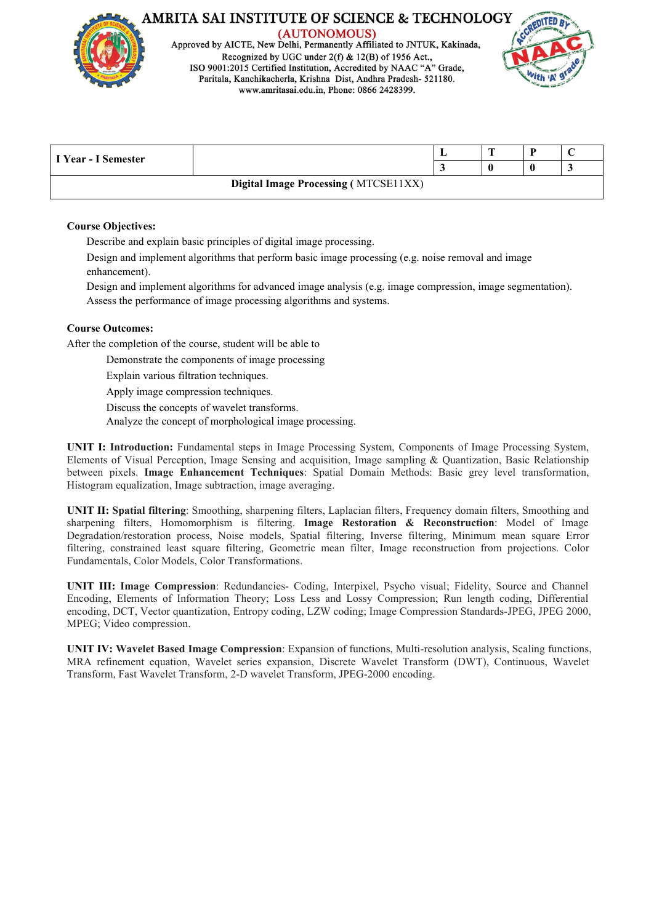

(AUTONOMOUS) Approved by AICTE, New Delhi, Permanently Affiliated to JNTUK, Kakinada, Recognized by UGC under  $2(f)$  & 12(B) of 1956 Act. ISO 9001:2015 Certified Institution, Accredited by NAAC "A" Grade, Paritala, Kanchikacherla, Krishna Dist, Andhra Pradesh- 521180. www.amritasai.edu.in, Phone: 0866 2428399.



|                     |                                             | <b>FRE</b> |  |
|---------------------|---------------------------------------------|------------|--|
| I Year - I Semester |                                             |            |  |
|                     | <b>Digital Image Processing (MTCSE11XX)</b> |            |  |

#### **Course Objectives:**

Describe and explain basic principles of digital image processing.

Design and implement algorithms that perform basic image processing (e.g. noise removal and image enhancement).

Design and implement algorithms for advanced image analysis (e.g. image compression, image segmentation). Assess the performance of image processing algorithms and systems.

#### **Course Outcomes:**

After the completion of the course, student will be able to

Demonstrate the components of image processing

Explain various filtration techniques.Apply image compression techniques.

Discuss the concepts of wavelet transforms.

Analyze the concept of morphological image processing.

**UNIT I: Introduction:** Fundamental steps in Image Processing System, Components of Image Processing System, Elements of Visual Perception, Image Sensing and acquisition, Image sampling & Quantization, Basic Relationship between pixels. **Image Enhancement Techniques**: Spatial Domain Methods: Basic grey level transformation, Histogram equalization, Image subtraction, image averaging.

**UNIT II: Spatial filtering**: Smoothing, sharpening filters, Laplacian filters, Frequency domain filters, Smoothing and sharpening filters, Homomorphism is filtering. **Image Restoration & Reconstruction**: Model of Image Degradation/restoration process, Noise models, Spatial filtering, Inverse filtering, Minimum mean square Error filtering, constrained least square filtering, Geometric mean filter, Image reconstruction from projections. Color Fundamentals, Color Models, Color Transformations.

**UNIT III: Image Compression**: Redundancies- Coding, Interpixel, Psycho visual; Fidelity, Source and Channel Encoding, Elements of Information Theory; Loss Less and Lossy Compression; Run length coding, Differential encoding, DCT, Vector quantization, Entropy coding, LZW coding; Image Compression Standards-JPEG, JPEG 2000, MPEG; Video compression.

**UNIT IV: Wavelet Based Image Compression**: Expansion of functions, Multi-resolution analysis, Scaling functions, MRA refinement equation, Wavelet series expansion, Discrete Wavelet Transform (DWT), Continuous, Wavelet Transform, Fast Wavelet Transform, 2-D wavelet Transform, JPEG-2000 encoding.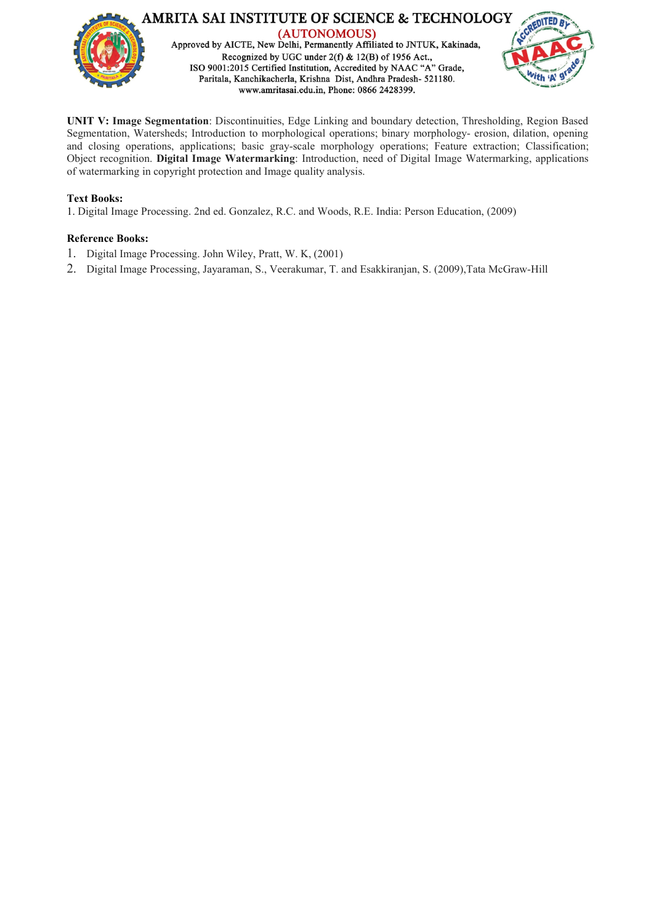

**UNIT V: Image Segmentation**: Discontinuities, Edge Linking and boundary detection, Thresholding, Region Based Segmentation, Watersheds; Introduction to morphological operations; binary morphology- erosion, dilation, opening and closing operations, applications; basic gray-scale morphology operations; Feature extraction; Classification; Object recognition. **Digital Image Watermarking**: Introduction, need of Digital Image Watermarking, applications of watermarking in copyright protection and Image quality analysis.

#### **Text Books:**

1. Digital Image Processing. 2nd ed. Gonzalez, R.C. and Woods, R.E. India: Person Education, (2009)

- 1. Digital Image Processing. John Wiley, Pratt, W. K, (2001)
- 2. Digital Image Processing, Jayaraman, S., Veerakumar, T. and Esakkiranjan, S. (2009),Tata McGraw-Hill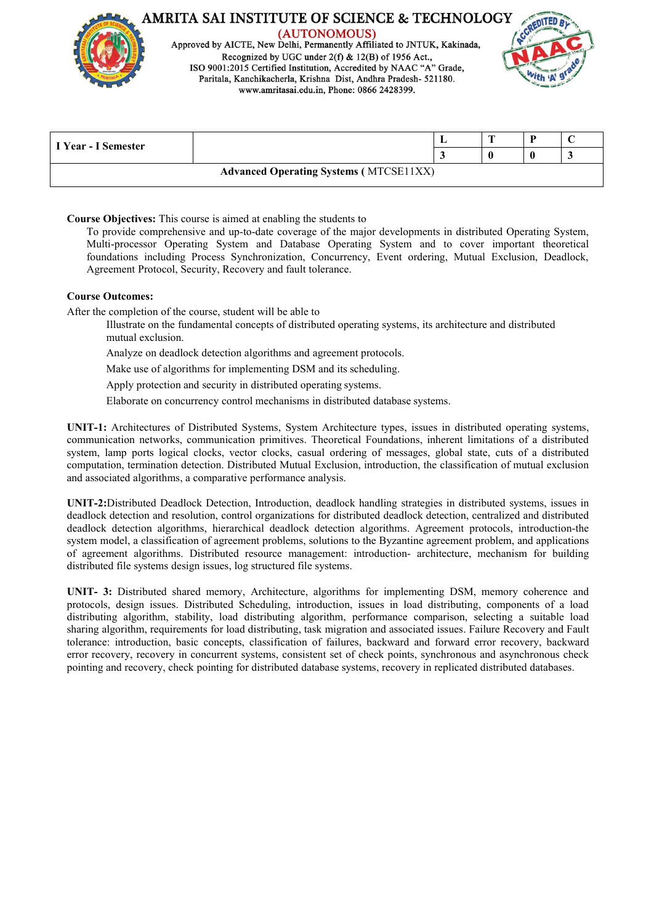

(AUTONOMOUS) Approved by AICTE, New Delhi, Permanently Affiliated to JNTUK, Kakinada, Recognized by UGC under 2(f) & 12(B) of 1956 Act., ISO 9001:2015 Certified Institution, Accredited by NAAC "A" Grade, Paritala, Kanchikacherla, Krishna Dist, Andhra Pradesh- 521180. www.amritasai.edu.in, Phone: 0866 2428399.



|                     |                                               | ., |  |  |
|---------------------|-----------------------------------------------|----|--|--|
| I Year - I Semester |                                               |    |  |  |
|                     | <b>Advanced Operating Systems (MTCSE11XX)</b> |    |  |  |

**Course Objectives:** This course is aimed at enabling the students to

To provide comprehensive and up-to-date coverage of the major developments in distributed Operating System, Multi-processor Operating System and Database Operating System and to cover important theoretical foundations including Process Synchronization, Concurrency, Event ordering, Mutual Exclusion, Deadlock, Agreement Protocol, Security, Recovery and fault tolerance.

#### **Course Outcomes:**

After the completion of the course, student will be able to

- Illustrate on the fundamental concepts of distributed operating systems, its architecture and distributed mutual exclusion.
- Analyze on deadlock detection algorithms and agreement protocols.

Make use of algorithms for implementing DSM and its scheduling.

Apply protection and security in distributed operating systems.

Elaborate on concurrency control mechanisms in distributed database systems.

**UNIT-1:** Architectures of Distributed Systems, System Architecture types, issues in distributed operating systems, communication networks, communication primitives.Theoretical Foundations, inherent limitations of a distributed system, lamp ports logical clocks, vector clocks, casual ordering of messages, global state, cuts of a distributed computation, termination detection. Distributed Mutual Exclusion, introduction, the classification of mutual exclusion and associated algorithms, a comparative performance analysis.

**UNIT-2:**Distributed Deadlock Detection, Introduction, deadlock handling strategies in distributed systems, issues in deadlock detection and resolution, control organizations for distributed deadlock detection, centralized and distributed deadlock detection algorithms, hierarchical deadlock detection algorithms. Agreement protocols, introduction-the system model, a classification of agreement problems, solutions to the Byzantine agreement problem, and applications of agreement algorithms. Distributed resource management: introduction- architecture, mechanism for building distributed file systems design issues, log structured file systems.

**UNIT- 3:** Distributed shared memory, Architecture, algorithms for implementing DSM, memory coherence and protocols, design issues. Distributed Scheduling, introduction, issues in load distributing, components of a load distributing algorithm, stability, load distributing algorithm, performance comparison, selecting a suitable load sharing algorithm, requirements for load distributing, task migration and associated issues. Failure Recovery and Fault tolerance: introduction, basic concepts, classification of failures, backward and forward error recovery, backward error recovery, recovery in concurrent systems, consistent set of check points, synchronous and asynchronous check pointing and recovery, check pointing for distributed database systems, recovery in replicated distributed databases.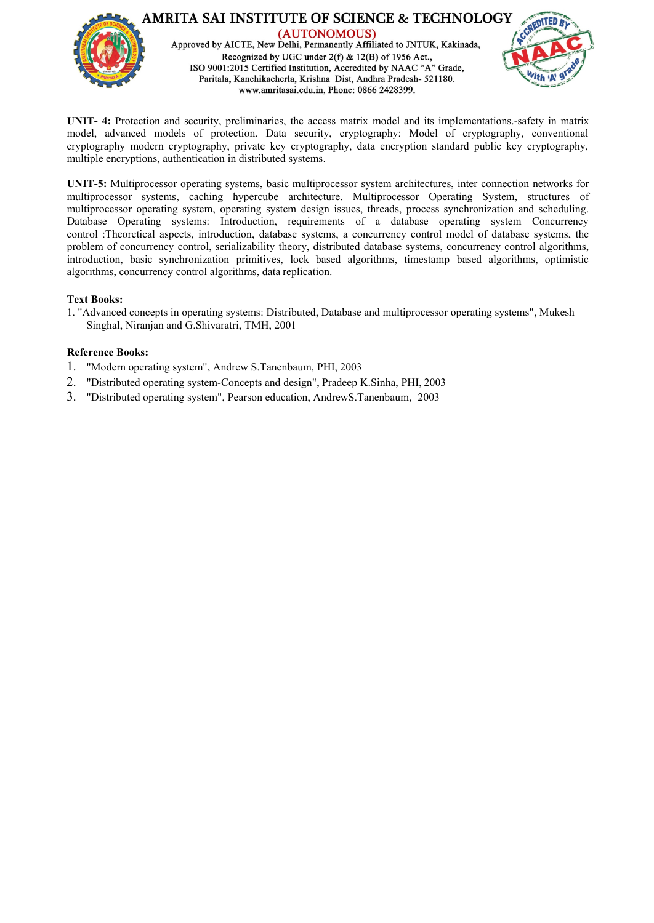

**UNIT- 4:** Protection and security, preliminaries, the access matrix model and its implementations.-safety in matrix model, advanced models of protection. Data security, cryptography: Model of cryptography, conventional cryptography modern cryptography, private key cryptography, data encryption standard public key cryptography, multiple encryptions, authentication in distributed systems.

**UNIT-5:** Multiprocessor operating systems, basic multiprocessor system architectures, inter connection networks for multiprocessor systems, caching hypercube architecture. Multiprocessor Operating System, structures of multiprocessor operating system, operating system design issues, threads, process synchronization and scheduling. Database Operating systems: Introduction, requirements of a database operating system Concurrency control :Theoretical aspects, introduction, database systems, a concurrency control model of database systems, the problem of concurrency control, serializability theory, distributed database systems, concurrency control algorithms, introduction, basic synchronization primitives, lock based algorithms, timestamp based algorithms, optimistic algorithms, concurrency control algorithms, data replication.

#### **Text Books:**

1. "Advanced concepts in operating systems: Distributed, Database and multiprocessor operating systems", Mukesh Singhal, Niranjan and G.Shivaratri, TMH, 2001

- 1. "Modern operating system", Andrew S.Tanenbaum, PHI, 2003
- 2. "Distributed operating system-Concepts and design", Pradeep K.Sinha, PHI, 2003
- 3. "Distributed operating system", Pearson education, AndrewS.Tanenbaum, 2003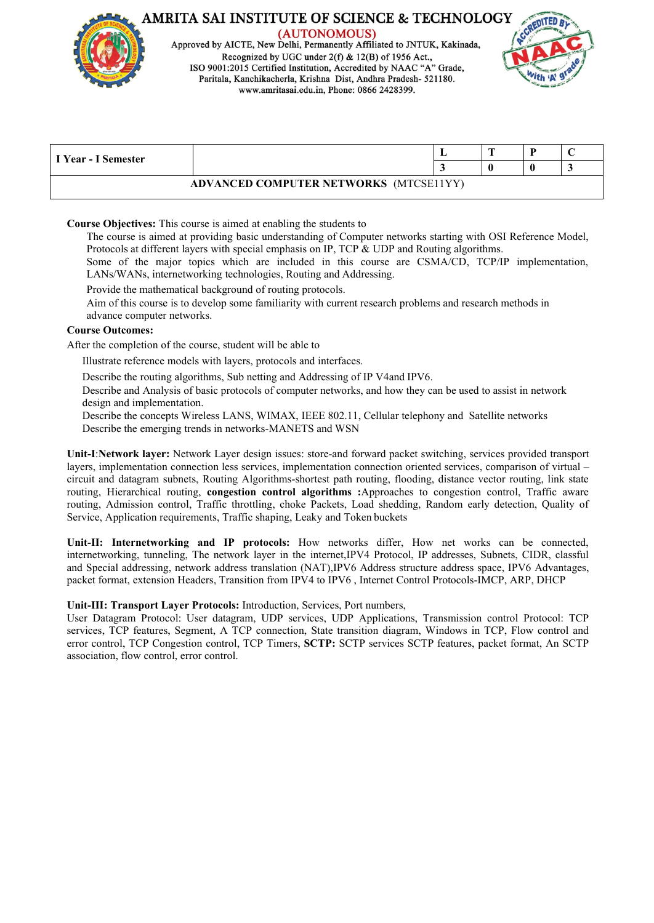

(AUTONOMOUS) Approved by AICTE, New Delhi, Permanently Affiliated to JNTUK, Kakinada, Recognized by UGC under 2(f) & 12(B) of 1956 Act., ISO 9001:2015 Certified Institution, Accredited by NAAC "A" Grade, Paritala, Kanchikacherla, Krishna Dist, Andhra Pradesh- 521180. www.amritasai.edu.in, Phone: 0866 2428399.



|                     |                                        | л., | n. | ◡ |
|---------------------|----------------------------------------|-----|----|---|
| I Year - I Semester |                                        |     |    |   |
|                     | ADVANCED COMPUTER NETWORKS (MTCSE11YY) |     |    |   |

#### **Course Objectives:** This course is aimed at enabling the students to

The course is aimed at providing basic understanding of Computer networks starting with OSI Reference Model, Protocols at different layers with special emphasis on IP, TCP & UDP and Routing algorithms.

Some of the major topics which are included in this course are CSMA/CD, TCP/IP implementation, LANs/WANs, internetworking technologies, Routing and Addressing.

Provide the mathematical background of routing protocols.

Aim of this course is to develop some familiarity with current research problems and research methods in advance computer networks.

#### **Course Outcomes:**

After the completion of the course, student will be able to

Illustrate reference models with layers, protocols and interfaces.

Describe the routing algorithms, Sub netting and Addressing of IP V4and IPV6.

Describe and Analysis of basic protocols of computer networks, and how they can be used to assist in network design and implementation.

Describe the concepts Wireless LANS, WIMAX, IEEE 802.11, Cellular telephony and Satellite networks Describe the emerging trends in networks-MANETS and WSN

**Unit-I**:**Network layer:** Network Layer design issues: store-and forward packet switching, services provided transport layers, implementation connection less services, implementation connection oriented services, comparison of virtual – circuit and datagram subnets, Routing Algorithms-shortest path routing, flooding, distance vector routing, link state routing, Hierarchical routing, **congestion control algorithms :**Approaches to congestion control, Traffic aware routing, Admission control, Traffic throttling, choke Packets, Load shedding, Random early detection, Quality of Service, Application requirements, Traffic shaping, Leaky and Token buckets

**Unit-II: Internetworking and IP protocols:** How networks differ, How net works can be connected, internetworking, tunneling, The network layer in the internet,IPV4 Protocol, IP addresses, Subnets, CIDR, classful and Special addressing, network address translation (NAT),IPV6 Address structure address space, IPV6 Advantages, packet format, extension Headers, Transition from IPV4 to IPV6 , Internet Control Protocols-IMCP, ARP, DHCP

#### **Unit-III: Transport Layer Protocols:** Introduction, Services, Port numbers,

User Datagram Protocol: User datagram, UDP services, UDP Applications,Transmission control Protocol: TCP services, TCP features, Segment, A TCP connection, State transition diagram, Windows in TCP, Flow control and error control, TCP Congestion control, TCP Timers, **SCTP:** SCTP services SCTP features, packet format, An SCTP association, flow control, error control.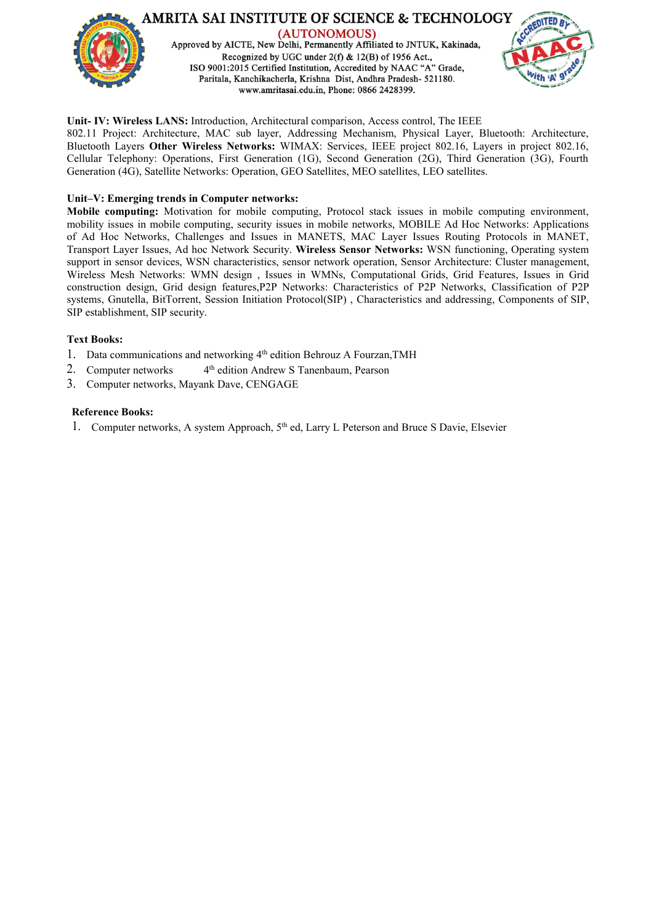

#### **Unit- IV: Wireless LANS:** Introduction, Architectural comparison, Access control, The IEEE

802.11 Project: Architecture, MAC sub layer, Addressing Mechanism, Physical Layer, Bluetooth: Architecture, Bluetooth Layers **Other Wireless Networks:** WIMAX: Services, IEEE project 802.16, Layers in project 802.16, Cellular Telephony: Operations, First Generation (1G), Second Generation (2G), Third Generation (3G), Fourth Generation (4G), Satellite Networks: Operation, GEO Satellites, MEO satellites, LEO satellites.

#### **Unit–V: Emerging trends in Computer networks:**

**Mobile computing:** Motivation for mobile computing, Protocol stack issues in mobile computing environment, mobility issues in mobile computing, security issues in mobile networks, MOBILE Ad Hoc Networks: Applications of Ad Hoc Networks, Challenges and Issues in MANETS, MAC Layer Issues Routing Protocols in MANET, Transport Layer Issues, Ad hoc Network Security. **Wireless Sensor Networks:** WSN functioning, Operating system support in sensor devices, WSN characteristics, sensor network operation, Sensor Architecture: Cluster management, Wireless Mesh Networks: WMN design , Issues in WMNs, Computational Grids, Grid Features, Issues in Grid construction design, Grid design features,P2P Networks: Characteristics of P2P Networks, Classification of P2P systems, Gnutella, BitTorrent, Session Initiation Protocol(SIP) , Characteristics and addressing, Components of SIP, SIP establishment, SIP security.

#### **Text Books:**

- 1. Data communications and networking 4<sup>th</sup> edition Behrouz A Fourzan, TMH
- 2. Computer networks  $4<sup>th</sup>$  edition Andrew S Tanenbaum, Pearson
- 3. Computer networks, Mayank Dave, CENGAGE

#### **Reference Books:**

1. Computer networks, A system Approach, 5<sup>th</sup> ed, Larry L Peterson and Bruce S Davie, Elsevier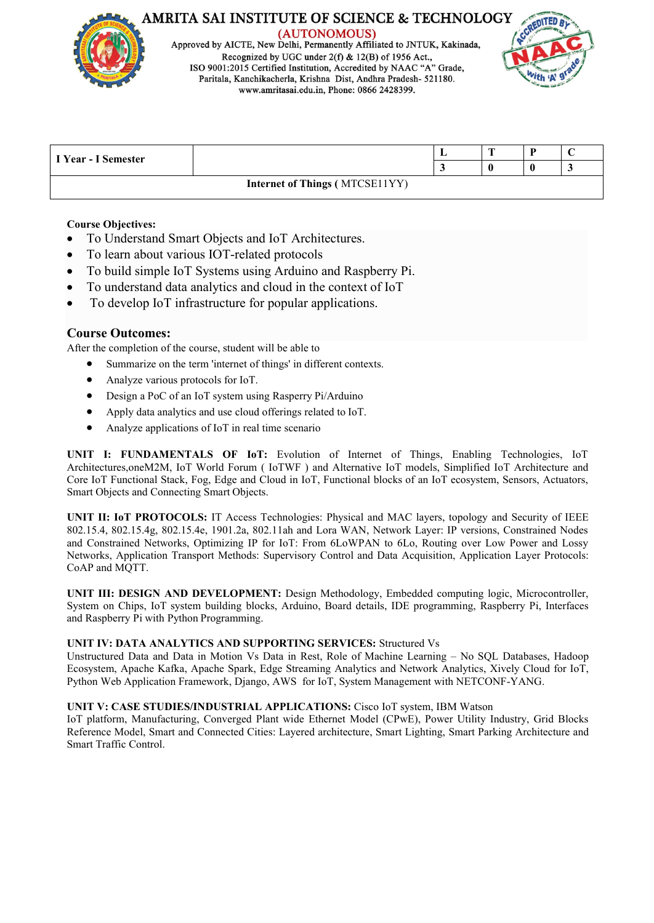

(AUTONOMOUS) Approved by AICTE, New Delhi, Permanently Affiliated to JNTUK, Kakinada, Recognized by UGC under  $2(f)$  & 12(B) of 1956 Act. ISO 9001:2015 Certified Institution, Accredited by NAAC "A" Grade, Paritala, Kanchikacherla, Krishna Dist, Andhra Pradesh- 521180. www.amritasai.edu.in, Phone: 0866 2428399.



|                            |                                       | $\overline{ }$ | ◡ |
|----------------------------|---------------------------------------|----------------|---|
| <b>U</b> Year - I Semester |                                       |                |   |
|                            | <b>Internet of Things (MTCSE11YY)</b> |                |   |

# **Course Objectives:**

- To Understand Smart Objects and IoT Architectures.
- To learn about various IOT-related protocols
- To build simple IoT Systems using Arduino and Raspberry Pi.
- To understand data analytics and cloud in the contextof IoT
- To develop IoT infrastructure for popular applications.

# **Course Outcomes:**

After the completion of the course, student will be able to

- Summarize on the term 'internet of things'in different contexts.
- Analyze various protocols for IoT.
- Design a PoC of an IoT system using Rasperry Pi/Arduino
- Apply data analytics and use cloud offerings related to IoT.
- Analyze applications of  $I \circ T$  in real time scenario

**UNIT I: FUNDAMENTALS OF IoT:** Evolution of Internet of Things, Enabling Technologies, IoT Architectures,oneM2M, IoT World Forum ( IoTWF ) and Alternative IoT models, Simplified IoT Architecture and Core IoT Functional Stack, Fog, Edge and Cloud in IoT, Functional blocks of an IoT ecosystem, Sensors, Actuators, Smart Objects and Connecting Smart Objects.

**UNIT II: IoT PROTOCOLS:** IT Access Technologies: Physical and MAC layers, topology and Security of IEEE 802.15.4, 802.15.4g, 802.15.4e, 1901.2a, 802.11ah and Lora WAN, Network Layer: IP versions, Constrained Nodes and Constrained Networks, Optimizing IP for IoT: From 6LoWPAN to 6Lo, Routing over Low Power and Lossy Networks, Application Transport Methods: Supervisory Control and Data Acquisition, Application Layer Protocols: CoAP and MQTT.

**UNIT III: DESIGN AND DEVELOPMENT:** Design Methodology, Embedded computing logic, Microcontroller, System on Chips, IoT system building blocks, Arduino, Board details, IDE programming, Raspberry Pi, Interfaces and Raspberry Pi with Python Programming.

# **UNIT IV: DATA ANALYTICS AND SUPPORTING SERVICES:** Structured Vs

Unstructured Data and Data in Motion Vs Data in Rest, Role of Machine Learning – No SQL Databases, Hadoop Ecosystem, Apache Kafka, Apache Spark, Edge Streaming Analytics and Network Analytics, Xively Cloud for IoT, Python Web Application Framework, Django, AWS for IoT, System Management with NETCONF-YANG.

# **UNIT V: CASE STUDIES/INDUSTRIAL APPLICATIONS:** Cisco IoT system, IBM Watson

IoT platform, Manufacturing, Converged Plant wide Ethernet Model (CPwE), Power Utility Industry, Grid Blocks Reference Model, Smart and Connected Cities: Layered architecture, Smart Lighting, Smart Parking Architecture and Smart Traffic Control.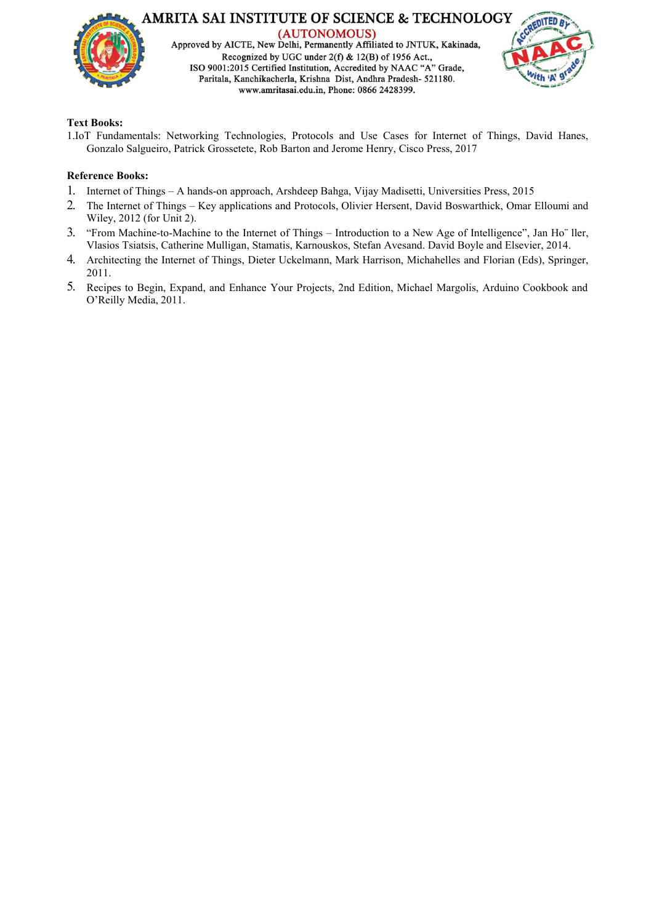

AMRITA SAI INSTITUTE OF SCIENCE & TECHNOLOGY (AUTONOMOUS) Approved by AICTE, New Delhi, Permanently Affiliated to JNTUK, Kakinada, Recognized by UGC under  $2(f)$  & 12(B) of 1956 Act., ISO 9001:2015 Certified Institution, Accredited by NAAC "A" Grade,

Paritala, Kanchikacherla, Krishna Dist, Andhra Pradesh- 521180. www.amritasai.edu.in, Phone: 0866 2428399.



#### **Text Books:**

1.IoT Fundamentals: Networking Technologies, Protocols and Use Cases for Internet of Things, David Hanes, Gonzalo Salgueiro, Patrick Grossetete, Rob Barton and Jerome Henry, Cisco Press, 2017

- 1. Internet of Things A hands-on approach, Arshdeep Bahga, Vijay Madisetti, Universities Press,2015
- 2. The Internet of Things Key applications and Protocols, Olivier Hersent, David Boswarthick, Omar Elloumi and Wiley, 2012 (for Unit 2).
- 3. "From Machine-to-Machine to the Internet of Things Introduction to a New Age of Intelligence", Jan Ho¨ ller, Vlasios Tsiatsis, Catherine Mulligan, Stamatis, Karnouskos, Stefan Avesand. David Boyle and Elsevier, 2014.
- 4. Architecting the Internet of Things, Dieter Uckelmann, Mark Harrison, Michahelles and Florian (Eds), Springer, 2011.
- 5. Recipes to Begin, Expand, and Enhance Your Projects, 2nd Edition, Michael Margolis, Arduino Cookbook and O'Reilly Media, 2011.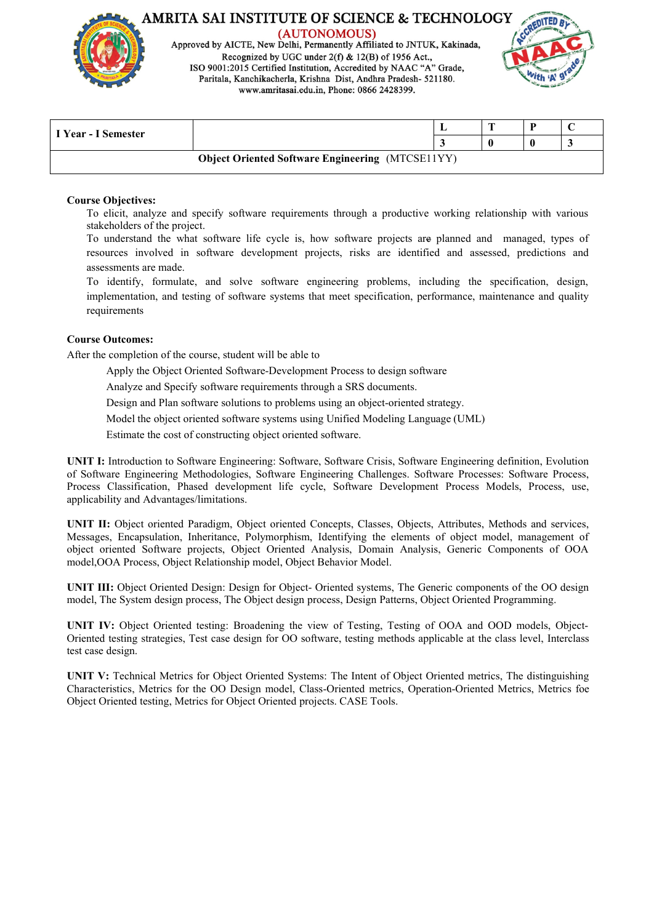

Approved by AICTE, New Delhi, Permanently Affiliated to JNTUK, Kakinada, Recognized by UGC under  $2(f)$  & 12(B) of 1956 Act., ISO 9001:2015 Certified Institution, Accredited by NAAC "A" Grade, Paritala, Kanchikacherla, Krishna Dist, Andhra Pradesh- 521180. www.amritasai.edu.in, Phone: 0866 2428399.



| I Year - I Semester |                                                         |  |  |
|---------------------|---------------------------------------------------------|--|--|
|                     | <b>Object Oriented Software Engineering (MTCSE11YY)</b> |  |  |

#### **Course Objectives:**

To elicit, analyze and specify software requirements through a productive working relationship with various stakeholders of the project.

To understand the what software life cycle is, how software projects are planned and managed, types of resources involved in software development projects, risks are identified and assessed, predictions and assessments are made.

To identify, formulate, and solve software engineering problems, including the specification, design, implementation, and testing of software systems that meet specification, performance, maintenance and quality requirements

#### **Course Outcomes:**

After the completion of the course, student will be able to

Apply the Object Oriented Software-Development Process to design software

Analyze and Specify software requirements through a SRS documents.

Design and Plan software solutions to problems using an object-oriented strategy.

Model the object oriented software systems using Unified Modeling Language (UML)

Estimate the cost of constructing object oriented software.

**UNIT I:** Introduction to Software Engineering: Software, Software Crisis, Software Engineering definition, Evolution of Software Engineering Methodologies, Software Engineering Challenges. Software Processes: Software Process,Process Classification, Phased development life cycle, Software Development Process Models, Process, use, applicability and Advantages/limitations.

**UNIT II:** Object oriented Paradigm, Object oriented Concepts, Classes, Objects, Attributes, Methods and services, Messages, Encapsulation, Inheritance, Polymorphism, Identifying the elements of object model, management of object oriented Software projects, Object Oriented Analysis, Domain Analysis, Generic Components of OOA model,OOA Process, Object Relationship model, Object Behavior Model.

**UNIT III:** Object Oriented Design: Design for Object- Oriented systems, The Generic components ofthe OO design model, The System design process, The Object design process, Design Patterns, Object Oriented Programming.

**UNIT IV:** Object Oriented testing: Broadening the view of Testing, Testing of OOA and OOD models, Object- Oriented testing strategies, Test case design for OO software, testing methods applicable at the class level, Interclass test case design.

**UNIT V:** Technical Metrics for Object Oriented Systems: The Intent of Object Oriented metrics, The distinguishing Characteristics, Metrics for the OO Design model, Class-Oriented metrics, Operation-Oriented Metrics, Metrics foe Object Oriented testing, Metrics for Object Oriented projects. CASE Tools.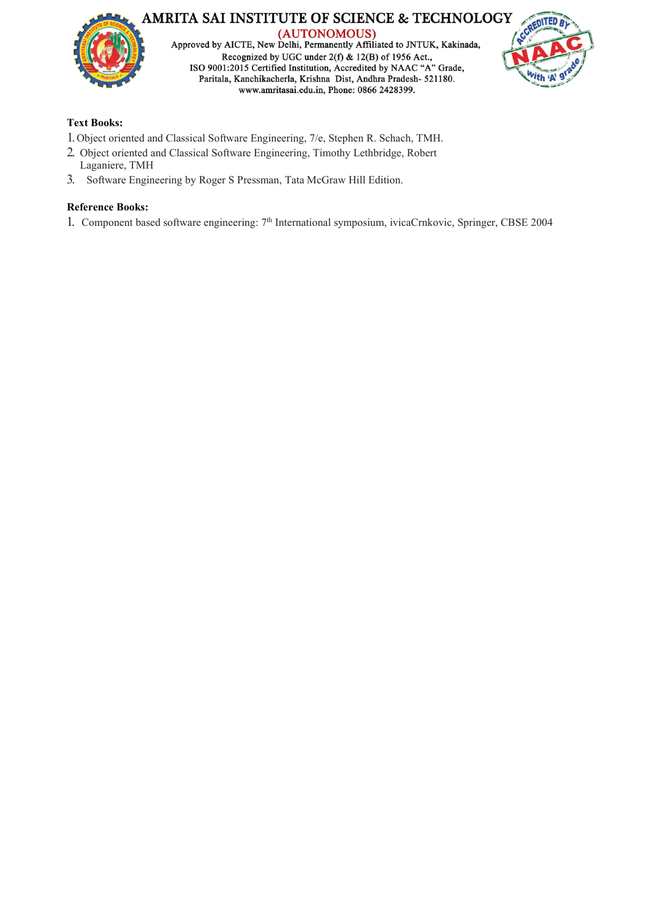



# **Text Books:**

- 1.Object oriented and Classical Software Engineering, 7/e, Stephen R. Schach, TMH.
- 2. Object oriented and Classical Software Engineering, Timothy Lethbridge, Robert Laganiere, TMH
- 3. Software Engineering by Roger S Pressman, Tata McGraw Hill Edition.

# **Reference Books:**

1. Component based software engineering: 7<sup>th</sup> International symposium, ivicaCrnkovic, Springer, CBSE 2004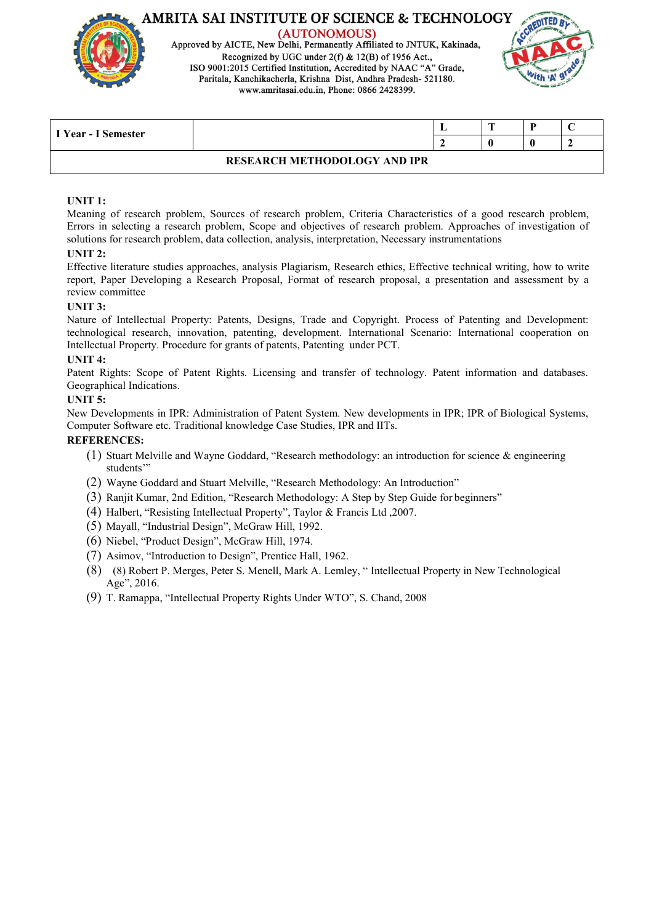

Approved by AICTE, New Delhi, Permanently Affiliated to JNTUK, Kakinada, Recognized by UGC under 2(f) & 12(B) of 1956 Act., ISO 9001:2015 Certified Institution, Accredited by NAAC "A" Grade, Paritala, Kanchikacherla, Krishna Dist, Andhra Pradesh- 521180. www.amritasai.edu.in, Phone: 0866 2428399.



| I Year - I Semester |                                     | $\sim$ | ◡ |
|---------------------|-------------------------------------|--------|---|
|                     |                                     |        |   |
|                     | <b>RESEARCH METHODOLOGY AND IPR</b> |        |   |

#### **UNIT 1:**

Meaning of research problem, Sources of research problem, Criteria Characteristics of a good research problem, Errors in selecting a research problem, Scope and objectives of research problem. Approaches of investigation of solutions for research problem, data collection, analysis, interpretation, Necessary instrumentations

#### **UNIT 2:**

Effective literature studies approaches, analysis Plagiarism, Research ethics, Effective technical writing, how to write report, Paper Developing a Research Proposal, Format of research proposal, a presentation and assessment by a review committee

#### **UNIT 3:**

Nature of Intellectual Property: Patents, Designs, Trade and Copyright. Process of Patenting and Development: technological research, innovation, patenting, development. International Scenario: International cooperation on Intellectual Property. Procedure for grants of patents, Patenting under PCT.

#### **UNIT 4:**

Patent Rights: Scope of Patent Rights. Licensing and transfer of technology. Patent information and databases. Geographical Indications.

#### **UNIT 5:**

New Developments in IPR: Administration of Patent System. New developments in IPR; IPR of Biological Systems, Computer Software etc. Traditional knowledge Case Studies, IPR and IITs.

# **REFERENCES:**

- (1) Stuart Melville and Wayne Goddard, "Research methodology: an introduction for science & engineering students'"
- (2) Wayne Goddard and Stuart Melville, "Research Methodology: An Introduction"
- (3) Ranjit Kumar, 2nd Edition, "Research Methodology: A Step by Step Guide for beginners"
- (4) Halbert, "Resisting Intellectual Property", Taylor & Francis Ltd ,2007.
- (5) Mayall, "Industrial Design", McGraw Hill, 1992.
- (6) Niebel, "Product Design", McGraw Hill, 1974.
- (7) Asimov, "Introduction to Design", Prentice Hall, 1962.
- (8) (8) Robert P. Merges, Peter S. Menell, Mark A. Lemley, " Intellectual Property in New Technological Age", 2016.
- (9) T. Ramappa, "Intellectual Property Rights Under WTO", S. Chand, 2008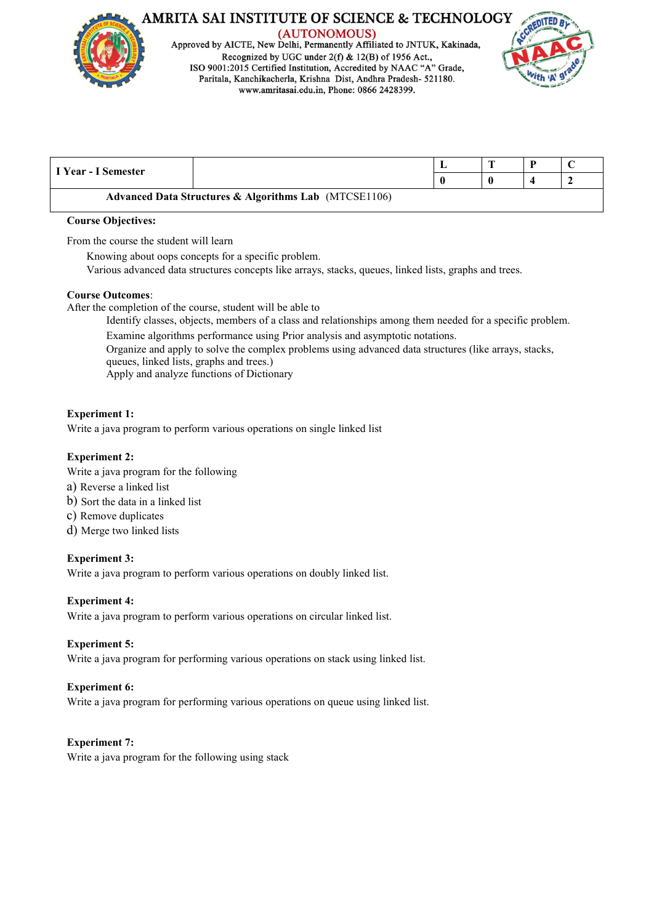

(AUTONOMOUS) Approved by AICTE, New Delhi, Permanently Affiliated to JNTUK, Kakinada, Recognized by UGC under  $2(f)$  & 12(B) of 1956 Act., ISO 9001:2015 Certified Institution, Accredited by NAAC "A" Grade, Paritala, Kanchikacherla, Krishna Dist, Andhra Pradesh- 521180. www.amritasai.edu.in, Phone: 0866 2428399.



| I Year - I Semester |                                                                  | ш, |  |  |
|---------------------|------------------------------------------------------------------|----|--|--|
|                     |                                                                  |    |  |  |
|                     | <b>Advanced Data Structures &amp; Algorithms Lab</b> (MTCSE1106) |    |  |  |

#### **Course Objectives:**

From the course the student will learn

Knowing about oops concepts for a specific problem.

Various advanced data structures concepts like arrays, stacks, queues, linked lists, graphs and trees.

#### **Course Outcomes**:

After the completion of the course, student will be able to

Identify classes, objects, members of a class and relationships among them needed for a specific problem.

Examine algorithms performance using Prior analysis and asymptotic notations.

Organize and apply to solve the complex problems using advanced data structures (like arrays, stacks, queues, linked lists, graphs and trees.)

Apply and analyze functions of Dictionary

# **Experiment 1:**

Write a java program to perform various operations on single linked list

# **Experiment 2:**

Write a java program for the following

- a) Reverse a linked list
- b) Sort the data in a linked list
- c) Remove duplicates
- d) Merge two linked lists

# **Experiment 3:**

Write a java program to perform various operations on doubly linked list.

# **Experiment 4:**

Write a java program to perform various operations on circular linked list.

# **Experiment 5:**

Write a java program for performing various operations on stack using linked list.

# **Experiment 6:**

Write a java program for performing various operations on queue using linked list.

# **Experiment 7:**

Write a java program for the following using stack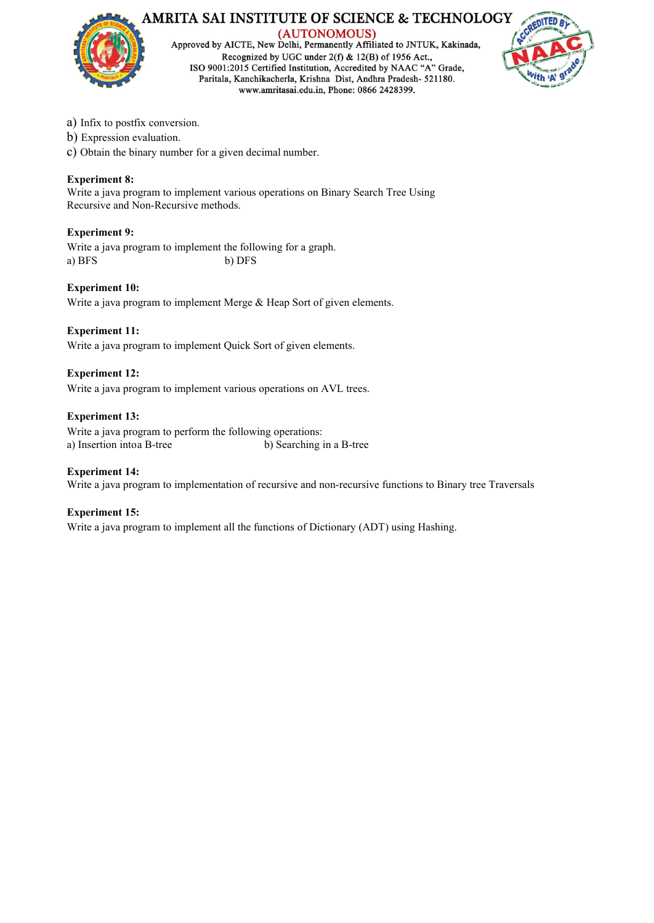

Approved by AICTE, New Delhi, Permanently Affiliated to JNTUK, Kakinada, Recognized by UGC under  $2(f)$  & 12(B) of 1956 Act., ISO 9001:2015 Certified Institution, Accredited by NAAC "A" Grade, Paritala, Kanchikacherla, Krishna Dist, Andhra Pradesh- 521180. www.amritasai.edu.in, Phone: 0866 2428399.



- a) Infix to postfix conversion.
- b) Expression evaluation.
- c) Obtain the binary number for a given decimal number.

# **Experiment 8:**

Write a java program to implement various operations on Binary Search Tree Using Recursive and Non-Recursive methods.

#### **Experiment 9:**

Write a java program to implement the following for a graph. a) BFS b) DFS

#### **Experiment 10:**

Write a java program to implement Merge & Heap Sort of given elements.

#### **Experiment 11:**

Write a java program to implement Quick Sort of given elements.

#### **Experiment 12:**

Write a java program to implement various operations on AVL trees.

#### **Experiment 13:**

Write a java program to perform the following operations: a) Insertion into a B-tree b) Searching in a B-tree

#### **Experiment 14:**

Write a java program to implementation of recursive and non-recursive functions to Binary tree Traversals

#### **Experiment 15:**

Write a java program to implement all the functions of Dictionary (ADT) using Hashing.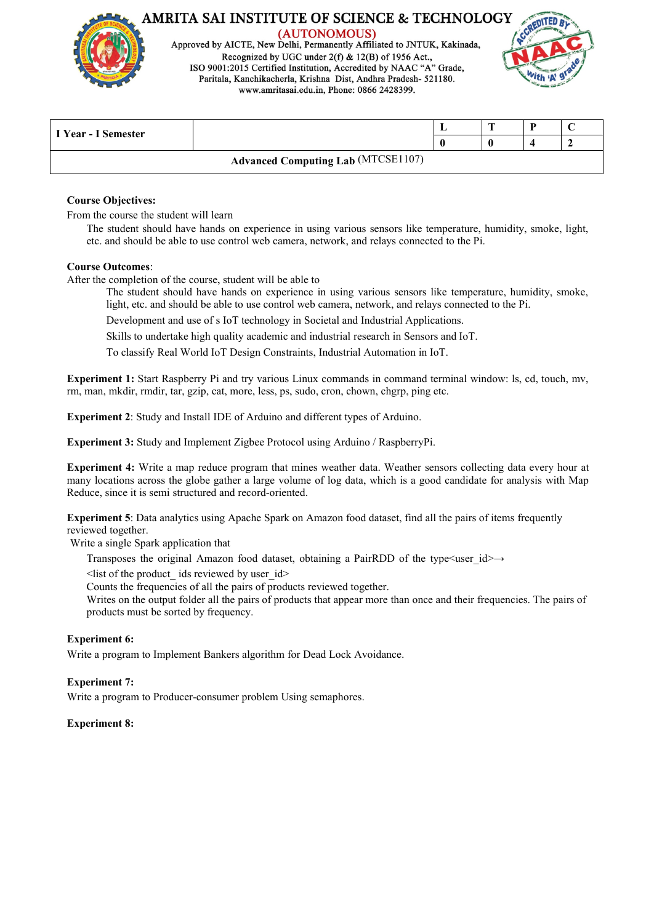

Approved by AICTE, New Delhi, Permanently Affiliated to JNTUK, Kakinada, Recognized by UGC under  $2(f)$  & 12(B) of 1956 Act. ISO 9001:2015 Certified Institution, Accredited by NAAC "A" Grade, Paritala, Kanchikacherla, Krishna Dist, Andhra Pradesh- 521180. www.amritasai.edu.in, Phone: 0866 2428399.



| I Year - I Semester                       |  | - |  |  |  |
|-------------------------------------------|--|---|--|--|--|
|                                           |  |   |  |  |  |
| <b>Advanced Computing Lab (MTCSE1107)</b> |  |   |  |  |  |

#### **Course Objectives:**

From the course the student will learn

The student should have hands on experience in using various sensors like temperature, humidity, smoke, light, etc. and should be able to use controlweb camera, network, and relays connected to the Pi.

#### **Course Outcomes**:

After the completion of the course, student will be able to

The student should have hands on experience in using various sensors like temperature, humidity, smoke, light, etc. and should be able to use control web camera, network, and relays connected to the Pi.

Development and use of s IoT technology in Societal and Industrial Applications.

Skills to undertake high quality academic and industrial research in Sensors and IoT.

To classify Real World IoT Design Constraints, Industrial Automation in IoT.

**Experiment 1:** Start Raspberry Pi and try various Linux commands in command terminal window: ls, cd, touch, mv, rm, man, mkdir, rmdir, tar, gzip, cat, more, less, ps, sudo, cron, chown, chgrp, ping etc.

**Experiment 2:** Study and Install IDE of Arduino and different types of Arduino.

**Experiment 3:** Study and Implement Zigbee Protocol using Arduino / RaspberryPi.

**Experiment 4:** Write a map reduce program that mines weather data. Weather sensors collecting data every hour at many locations across the globe gather a large volume of log data, which is a good candidate for analysis with Map Reduce, since it is semi structured and record-oriented.

**Experiment 5**: Data analytics using Apache Spark on Amazon food dataset, find all the pairs of items frequently reviewed together.

Write a single Spark application that

Transposes the original Amazon food dataset, obtaining a PairRDD of the type<user  $id \rightarrow$ 

 $\le$ list of the product ids reviewed by user id $>$ 

Counts the frequencies of all the pairs of products reviewed together.

Writes on the output folder all the pairs of products that appear more than once and their frequencies. The pairs of products must be sorted by frequency.

#### **Experiment 6:**

Write a program to Implement Bankers algorithm for Dead Lock Avoidance.

#### **Experiment 7:**

Write a program to Producer-consumer problem Using semaphores.

#### **Experiment 8:**